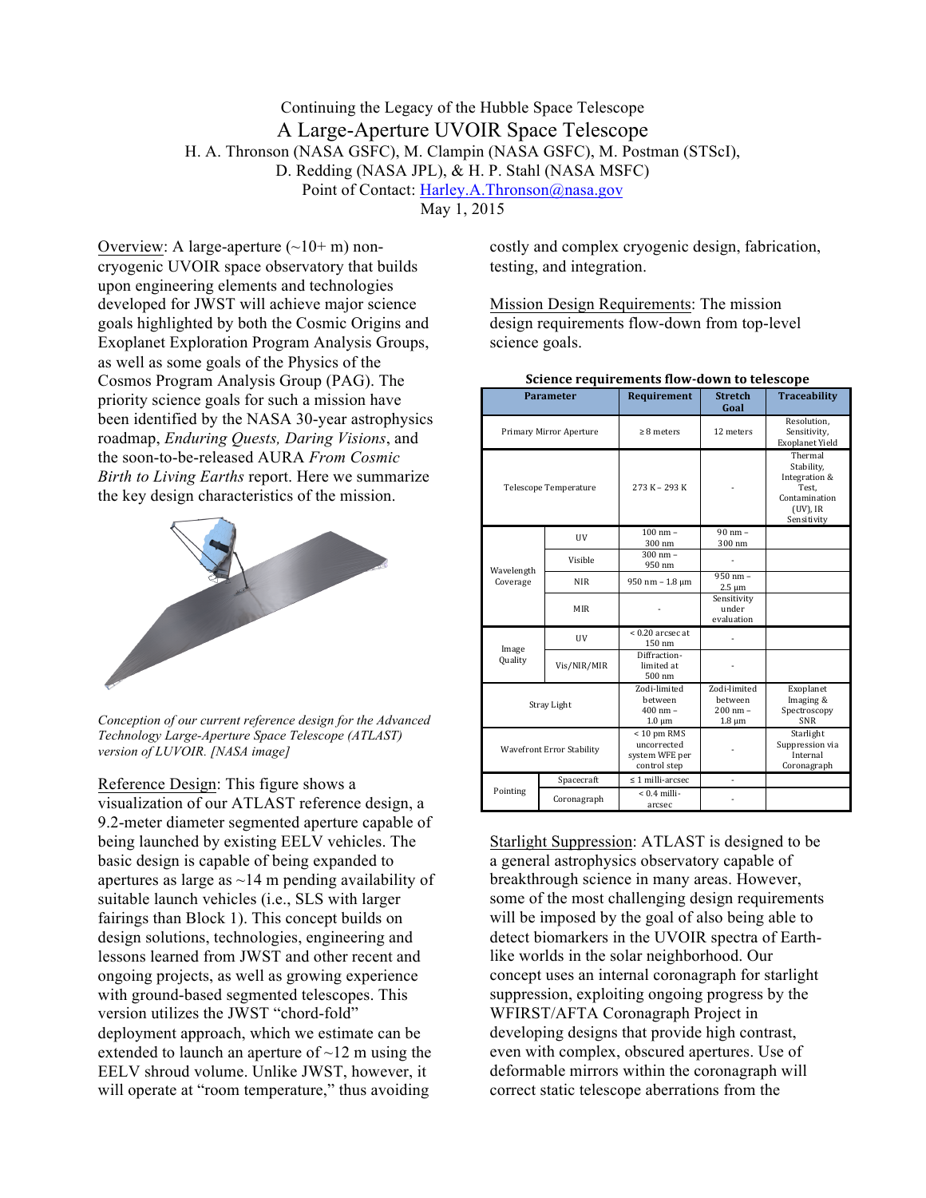## Continuing the Legacy of the Hubble Space Telescope A Large-Aperture UVOIR Space Telescope H. A. Thronson (NASA GSFC), M. Clampin (NASA GSFC), M. Postman (STScI), D. Redding (NASA JPL), & H. P. Stahl (NASA MSFC) Point of Contact: Harley.A.Thronson@nasa.gov

May 1, 2015

Overview: A large-aperture  $(\sim 10+m)$  noncryogenic UVOIR space observatory that builds upon engineering elements and technologies developed for JWST will achieve major science goals highlighted by both the Cosmic Origins and Exoplanet Exploration Program Analysis Groups, as well as some goals of the Physics of the Cosmos Program Analysis Group (PAG). The priority science goals for such a mission have been identified by the NASA 30-year astrophysics roadmap, *Enduring Quests, Daring Visions*, and the soon-to-be-released AURA *From Cosmic Birth to Living Earths* report. Here we summarize the key design characteristics of the mission.



*Conception of our current reference design for the Advanced Technology Large-Aperture Space Telescope (ATLAST) version of LUVOIR. [NASA image]*

Reference Design: This figure shows a visualization of our ATLAST reference design, a 9.2-meter diameter segmented aperture capable of being launched by existing EELV vehicles. The basic design is capable of being expanded to apertures as large as  $\sim$ 14 m pending availability of suitable launch vehicles (i.e., SLS with larger fairings than Block 1). This concept builds on design solutions, technologies, engineering and lessons learned from JWST and other recent and ongoing projects, as well as growing experience with ground-based segmented telescopes. This version utilizes the JWST "chord-fold" deployment approach, which we estimate can be extended to launch an aperture of  $\sim$ 12 m using the EELV shroud volume. Unlike JWST, however, it will operate at "room temperature," thus avoiding

costly and complex cryogenic design, fabrication, testing, and integration.

Mission Design Requirements: The mission design requirements flow-down from top-level science goals.

| <b>Parameter</b>                 |             | Requirement                                                    | <b>Stretch</b><br>Goal                                              | <b>Traceability</b>                                                                            |
|----------------------------------|-------------|----------------------------------------------------------------|---------------------------------------------------------------------|------------------------------------------------------------------------------------------------|
| Primary Mirror Aperture          |             | $\geq 8$ meters                                                | 12 meters                                                           | Resolution.<br>Sensitivity,<br><b>Exoplanet Yield</b>                                          |
| <b>Telescope Temperature</b>     |             | 273 K - 293 K                                                  |                                                                     | Thermal<br>Stability,<br>Integration &<br>Test.<br>Contamination<br>$(UV)$ , IR<br>Sensitivity |
| Wavelength<br>Coverage           | UV          | $100 \text{ nm} -$<br>300 nm                                   | $90 \text{ nm}$ -<br>300 nm                                         |                                                                                                |
|                                  | Visible     | $300 \, \text{nm} -$<br>950 nm                                 |                                                                     |                                                                                                |
|                                  | <b>NIR</b>  | 950 nm - 1.8 μm                                                | $950 \text{ nm} -$<br>$2.5 \mu m$                                   |                                                                                                |
|                                  | <b>MIR</b>  |                                                                | Sensitivity<br>under<br>evaluation                                  |                                                                                                |
| Image<br>Quality                 | UV          | $< 0.20$ arcsec at<br>150 nm                                   |                                                                     |                                                                                                |
|                                  | Vis/NIR/MIR | Diffraction-<br>limited at<br>500 nm                           |                                                                     |                                                                                                |
| Stray Light                      |             | Zodi-limited<br>hetween<br>$400$ nm $-$<br>$1.0 \mu m$         | Zodi-limited<br><b>between</b><br>$200 \text{ nm} -$<br>$1.8 \mu m$ | Exoplanet<br>Imaging &<br>Spectroscopy<br><b>SNR</b>                                           |
| <b>Wavefront Error Stability</b> |             | $< 10$ pm RMS<br>uncorrected<br>system WFE per<br>control step |                                                                     | Starlight<br>Suppression via<br>Internal<br>Coronagraph                                        |
| Pointing                         | Spacecraft  | $\leq$ 1 milli-arcsec                                          |                                                                     |                                                                                                |
|                                  | Coronagraph | $< 0.4$ milli-<br>arcsec                                       |                                                                     |                                                                                                |

**Science requirements flow-down to telescope** 

Starlight Suppression: ATLAST is designed to be a general astrophysics observatory capable of breakthrough science in many areas. However, some of the most challenging design requirements will be imposed by the goal of also being able to detect biomarkers in the UVOIR spectra of Earthlike worlds in the solar neighborhood. Our concept uses an internal coronagraph for starlight suppression, exploiting ongoing progress by the WFIRST/AFTA Coronagraph Project in developing designs that provide high contrast, even with complex, obscured apertures. Use of deformable mirrors within the coronagraph will correct static telescope aberrations from the